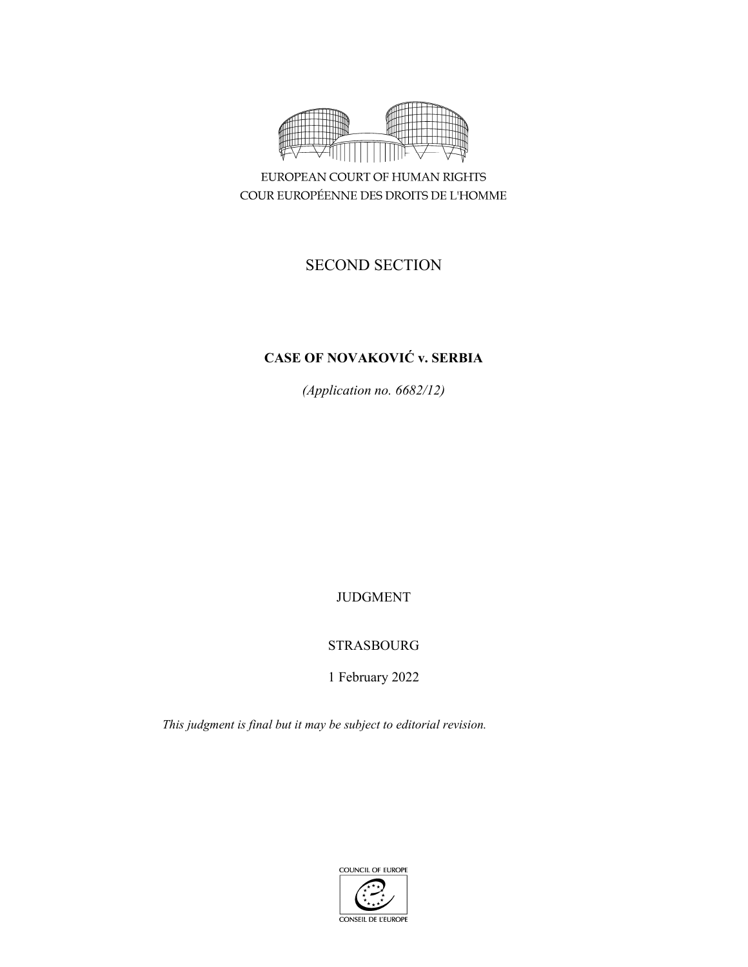

EUROPEAN COURT OF HUMAN RIGHTS COUR EUROPÉENNE DES DROITS DE L'HOMME

# SECOND SECTION

# **CASE OF NOVAKOVIĆ v. SERBIA**

*(Application no. 6682/12)* 

## JUDGMENT

## STRASBOURG

1 February 2022

*This judgment is final but it may be subject to editorial revision.* 

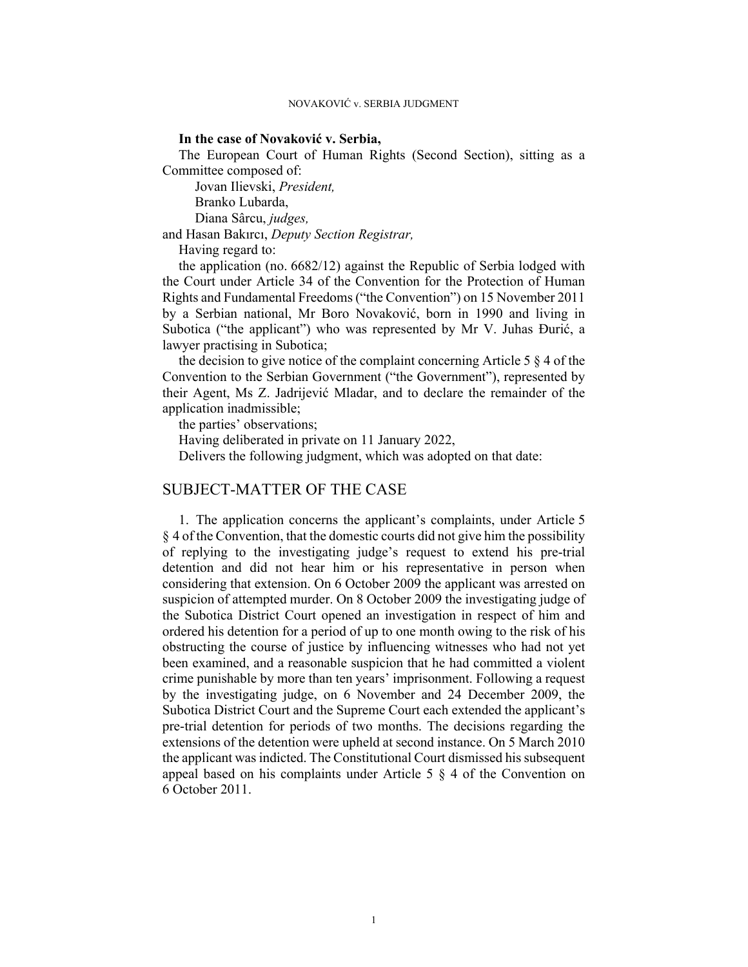#### **In the case of Novaković v. Serbia,**

The European Court of Human Rights (Second Section), sitting as a Committee composed of:

Jovan Ilievski, *President,* 

Branko Lubarda,

Diana Sârcu, *judges,*

and Hasan Bakırcı, *Deputy Section Registrar,*

Having regard to:

the application (no. 6682/12) against the Republic of Serbia lodged with the Court under Article 34 of the Convention for the Protection of Human Rights and Fundamental Freedoms ("the Convention") on 15 November 2011 by a Serbian national, Mr Boro Novaković, born in 1990 and living in Subotica ("the applicant") who was represented by Mr V. Juhas Đurić, a lawyer practising in Subotica;

the decision to give notice of the complaint concerning Article 5 § 4 of the Convention to the Serbian Government ("the Government"), represented by their Agent, Ms Z. Jadrijević Mladar, and to declare the remainder of the application inadmissible;

the parties' observations;

Having deliberated in private on 11 January 2022,

Delivers the following judgment, which was adopted on that date:

### SUBJECT-MATTER OF THE CASE

1. The application concerns the applicant's complaints, under Article 5 § 4 of the Convention, that the domestic courts did not give him the possibility of replying to the investigating judge's request to extend his pre-trial detention and did not hear him or his representative in person when considering that extension. On 6 October 2009 the applicant was arrested on suspicion of attempted murder. On 8 October 2009 the investigating judge of the Subotica District Court opened an investigation in respect of him and ordered his detention for a period of up to one month owing to the risk of his obstructing the course of justice by influencing witnesses who had not yet been examined, and a reasonable suspicion that he had committed a violent crime punishable by more than ten years' imprisonment. Following a request by the investigating judge, on 6 November and 24 December 2009, the Subotica District Court and the Supreme Court each extended the applicant's pre-trial detention for periods of two months. The decisions regarding the extensions of the detention were upheld at second instance. On 5 March 2010 the applicant was indicted. The Constitutional Court dismissed his subsequent appeal based on his complaints under Article 5 § 4 of the Convention on 6 October 2011.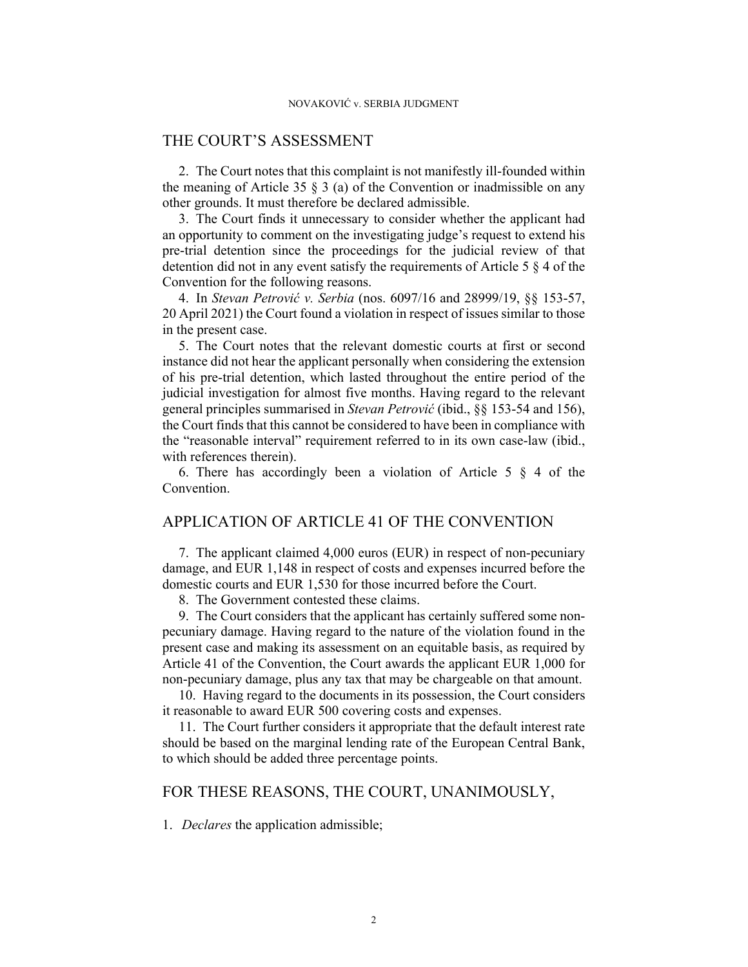### THE COURT'S ASSESSMENT

2. The Court notes that this complaint is not manifestly ill-founded within the meaning of Article 35  $\S$  3 (a) of the Convention or inadmissible on any other grounds. It must therefore be declared admissible.

3. The Court finds it unnecessary to consider whether the applicant had an opportunity to comment on the investigating judge's request to extend his pre-trial detention since the proceedings for the judicial review of that detention did not in any event satisfy the requirements of Article 5 § 4 of the Convention for the following reasons.

4. In *Stevan Petrović v. Serbia* (nos. 6097/16 and 28999/19, §§ 153-57, 20 April 2021) the Court found a violation in respect of issues similar to those in the present case.

5. The Court notes that the relevant domestic courts at first or second instance did not hear the applicant personally when considering the extension of his pre-trial detention, which lasted throughout the entire period of the judicial investigation for almost five months. Having regard to the relevant general principles summarised in *Stevan Petrović* (ibid., §§ 153-54 and 156), the Court finds that this cannot be considered to have been in compliance with the "reasonable interval" requirement referred to in its own case-law (ibid., with references therein).

6. There has accordingly been a violation of Article 5  $\S$  4 of the Convention.

### APPLICATION OF ARTICLE 41 OF THE CONVENTION

7. The applicant claimed 4,000 euros (EUR) in respect of non-pecuniary damage, and EUR 1,148 in respect of costs and expenses incurred before the domestic courts and EUR 1,530 for those incurred before the Court.

8. The Government contested these claims.

9. The Court considers that the applicant has certainly suffered some nonpecuniary damage. Having regard to the nature of the violation found in the present case and making its assessment on an equitable basis, as required by Article 41 of the Convention, the Court awards the applicant EUR 1,000 for non-pecuniary damage, plus any tax that may be chargeable on that amount.

10. Having regard to the documents in its possession, the Court considers it reasonable to award EUR 500 covering costs and expenses.

11. The Court further considers it appropriate that the default interest rate should be based on the marginal lending rate of the European Central Bank, to which should be added three percentage points.

### FOR THESE REASONS, THE COURT, UNANIMOUSLY,

1. *Declares* the application admissible;